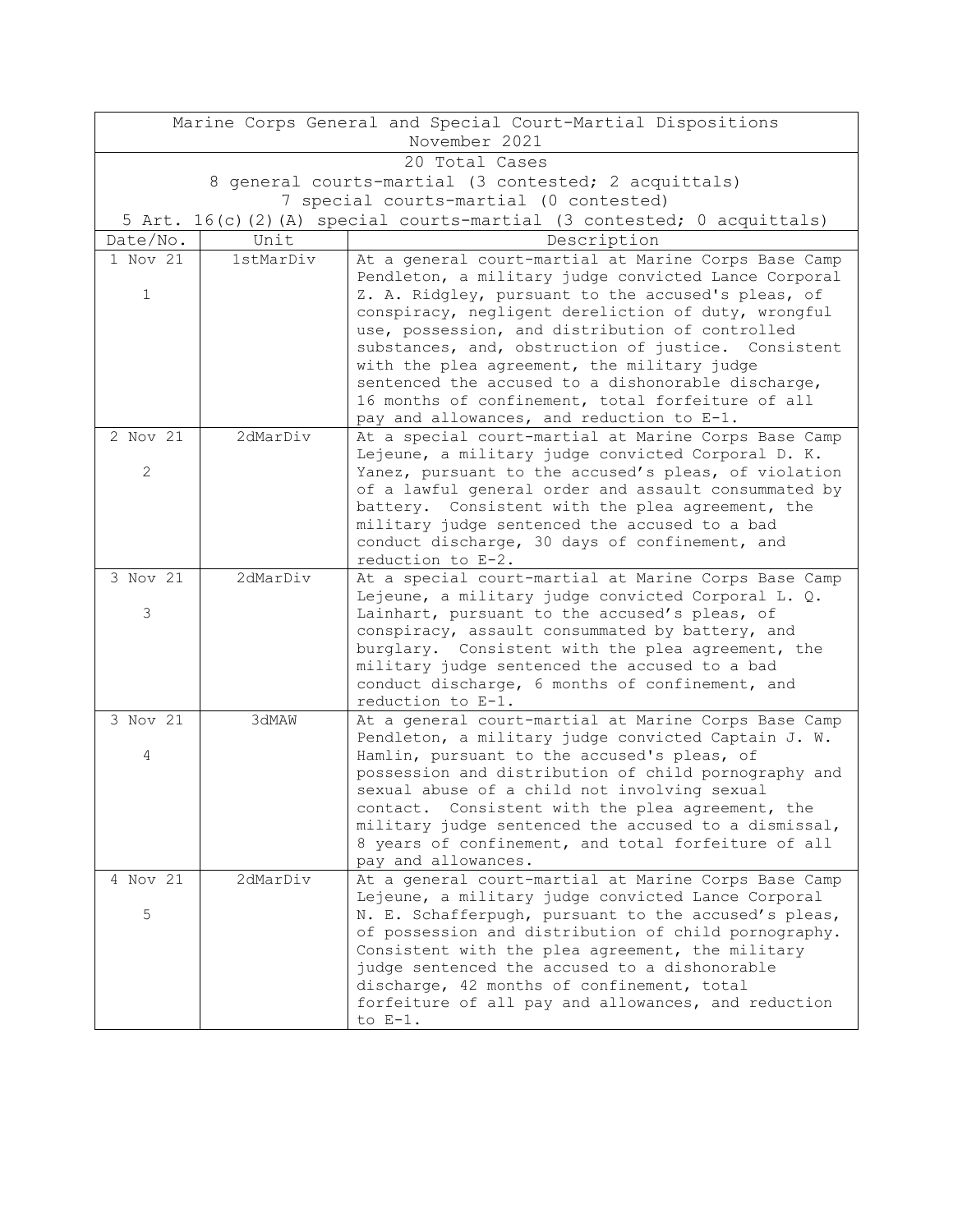| Marine Corps General and Special Court-Martial Dispositions |                                                                       |                                                                                                            |  |  |  |
|-------------------------------------------------------------|-----------------------------------------------------------------------|------------------------------------------------------------------------------------------------------------|--|--|--|
| November 2021                                               |                                                                       |                                                                                                            |  |  |  |
| 20 Total Cases                                              |                                                                       |                                                                                                            |  |  |  |
| 8 general courts-martial (3 contested; 2 acquittals)        |                                                                       |                                                                                                            |  |  |  |
| 7 special courts-martial (0 contested)                      |                                                                       |                                                                                                            |  |  |  |
|                                                             | 5 Art. 16(c)(2)(A) special courts-martial (3 contested; 0 acquittals) |                                                                                                            |  |  |  |
| Date/No.                                                    | Unit                                                                  | Description                                                                                                |  |  |  |
| 1 Nov 21                                                    | 1stMarDiv                                                             | At a general court-martial at Marine Corps Base Camp                                                       |  |  |  |
|                                                             |                                                                       | Pendleton, a military judge convicted Lance Corporal                                                       |  |  |  |
| $\mathbf 1$                                                 |                                                                       | Z. A. Ridgley, pursuant to the accused's pleas, of                                                         |  |  |  |
|                                                             |                                                                       | conspiracy, negligent dereliction of duty, wrongful<br>use, possession, and distribution of controlled     |  |  |  |
|                                                             |                                                                       | substances, and, obstruction of justice. Consistent                                                        |  |  |  |
|                                                             |                                                                       | with the plea agreement, the military judge                                                                |  |  |  |
|                                                             |                                                                       | sentenced the accused to a dishonorable discharge,                                                         |  |  |  |
|                                                             |                                                                       | 16 months of confinement, total forfeiture of all                                                          |  |  |  |
|                                                             |                                                                       | pay and allowances, and reduction to E-1.                                                                  |  |  |  |
| 2 Nov 21                                                    | 2dMarDiv                                                              | At a special court-martial at Marine Corps Base Camp                                                       |  |  |  |
|                                                             |                                                                       | Lejeune, a military judge convicted Corporal D. K.                                                         |  |  |  |
| $\mathbf{2}$                                                |                                                                       | Yanez, pursuant to the accused's pleas, of violation                                                       |  |  |  |
|                                                             |                                                                       | of a lawful general order and assault consummated by                                                       |  |  |  |
|                                                             |                                                                       | battery. Consistent with the plea agreement, the                                                           |  |  |  |
|                                                             |                                                                       | military judge sentenced the accused to a bad                                                              |  |  |  |
|                                                             |                                                                       | conduct discharge, 30 days of confinement, and                                                             |  |  |  |
| 3 Nov 21                                                    | 2dMarDiv                                                              | reduction to E-2.                                                                                          |  |  |  |
|                                                             |                                                                       | At a special court-martial at Marine Corps Base Camp<br>Lejeune, a military judge convicted Corporal L. Q. |  |  |  |
| 3                                                           |                                                                       | Lainhart, pursuant to the accused's pleas, of                                                              |  |  |  |
|                                                             |                                                                       | conspiracy, assault consummated by battery, and                                                            |  |  |  |
|                                                             |                                                                       | burglary. Consistent with the plea agreement, the                                                          |  |  |  |
|                                                             |                                                                       | military judge sentenced the accused to a bad                                                              |  |  |  |
|                                                             |                                                                       | conduct discharge, 6 months of confinement, and                                                            |  |  |  |
|                                                             |                                                                       | reduction to E-1.                                                                                          |  |  |  |
| 3 Nov 21                                                    | 3dMAW                                                                 | At a general court-martial at Marine Corps Base Camp                                                       |  |  |  |
|                                                             |                                                                       | Pendleton, a military judge convicted Captain J. W.                                                        |  |  |  |
| 4                                                           |                                                                       | Hamlin, pursuant to the accused's pleas, of                                                                |  |  |  |
|                                                             |                                                                       | possession and distribution of child pornography and                                                       |  |  |  |
|                                                             |                                                                       | sexual abuse of a child not involving sexual<br>contact. Consistent with the plea agreement, the           |  |  |  |
|                                                             |                                                                       | military judge sentenced the accused to a dismissal,                                                       |  |  |  |
|                                                             |                                                                       | 8 years of confinement, and total forfeiture of all                                                        |  |  |  |
|                                                             |                                                                       | pay and allowances.                                                                                        |  |  |  |
| 4 Nov 21                                                    | 2dMarDiv                                                              | At a general court-martial at Marine Corps Base Camp                                                       |  |  |  |
|                                                             |                                                                       | Lejeune, a military judge convicted Lance Corporal                                                         |  |  |  |
| 5                                                           |                                                                       | N. E. Schafferpugh, pursuant to the accused's pleas,                                                       |  |  |  |
|                                                             |                                                                       | of possession and distribution of child pornography.                                                       |  |  |  |
|                                                             |                                                                       | Consistent with the plea agreement, the military                                                           |  |  |  |
|                                                             |                                                                       | judge sentenced the accused to a dishonorable                                                              |  |  |  |
|                                                             |                                                                       | discharge, 42 months of confinement, total                                                                 |  |  |  |
|                                                             |                                                                       | forfeiture of all pay and allowances, and reduction                                                        |  |  |  |
|                                                             |                                                                       | to $E-1$ .                                                                                                 |  |  |  |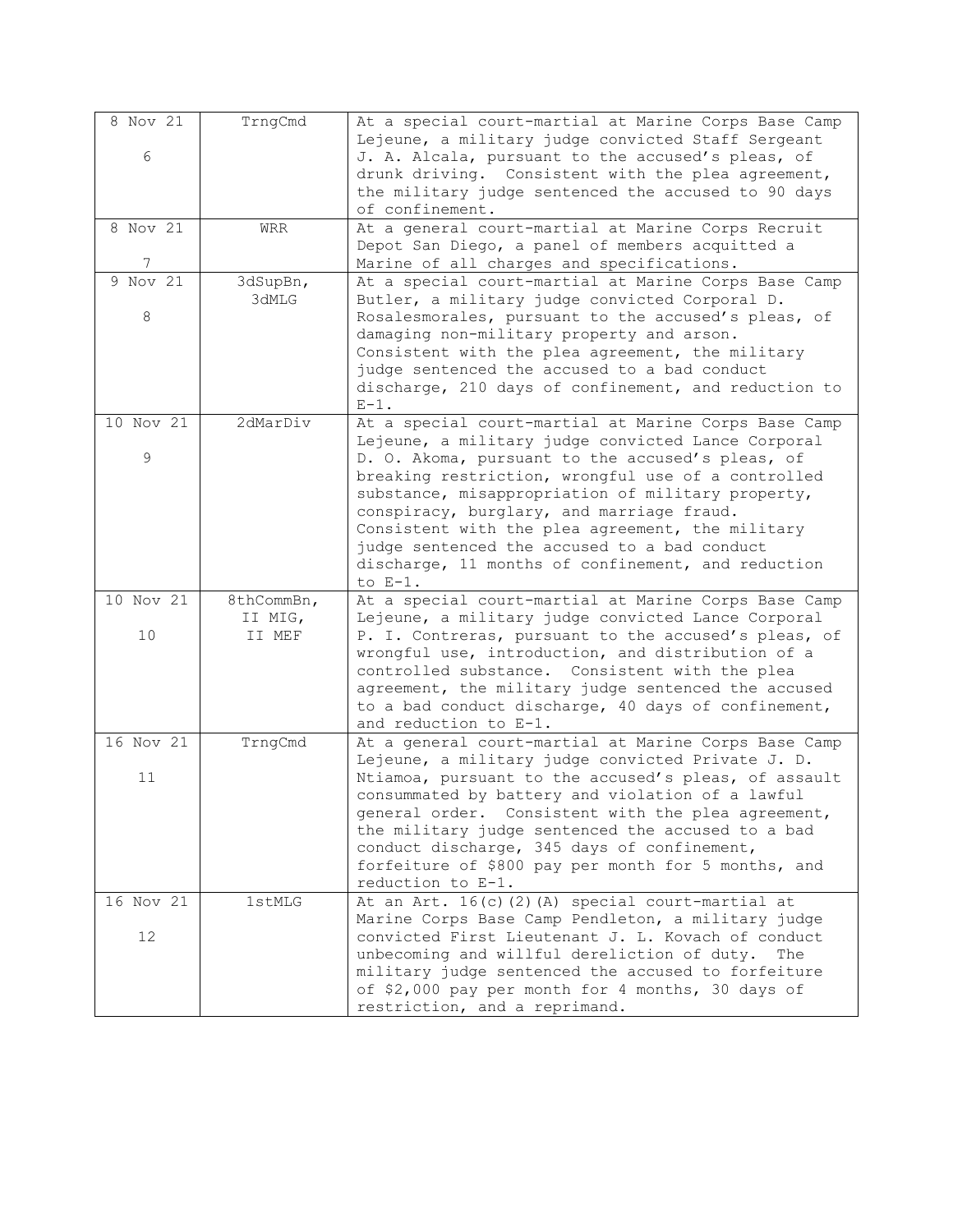| 8 Nov 21  | TrngCmd    | At a special court-martial at Marine Corps Base Camp                                                       |
|-----------|------------|------------------------------------------------------------------------------------------------------------|
| 6         |            | Lejeune, a military judge convicted Staff Sergeant<br>J. A. Alcala, pursuant to the accused's pleas, of    |
|           |            | drunk driving. Consistent with the plea agreement,                                                         |
|           |            | the military judge sentenced the accused to 90 days                                                        |
|           |            | of confinement.                                                                                            |
| 8 Nov 21  | <b>WRR</b> | At a general court-martial at Marine Corps Recruit                                                         |
| 7         |            | Depot San Diego, a panel of members acquitted a<br>Marine of all charges and specifications.               |
| 9 Nov 21  | 3dSupBn,   | At a special court-martial at Marine Corps Base Camp                                                       |
|           | 3dMLG      | Butler, a military judge convicted Corporal D.                                                             |
| 8         |            | Rosalesmorales, pursuant to the accused's pleas, of                                                        |
|           |            | damaging non-military property and arson.                                                                  |
|           |            | Consistent with the plea agreement, the military                                                           |
|           |            | judge sentenced the accused to a bad conduct<br>discharge, 210 days of confinement, and reduction to       |
|           |            | $E-1$ .                                                                                                    |
| 10 Nov 21 | 2dMarDiv   | At a special court-martial at Marine Corps Base Camp                                                       |
|           |            | Lejeune, a military judge convicted Lance Corporal                                                         |
| 9         |            | D. O. Akoma, pursuant to the accused's pleas, of<br>breaking restriction, wrongful use of a controlled     |
|           |            | substance, misappropriation of military property,                                                          |
|           |            | conspiracy, burglary, and marriage fraud.                                                                  |
|           |            | Consistent with the plea agreement, the military                                                           |
|           |            | judge sentenced the accused to a bad conduct                                                               |
|           |            | discharge, 11 months of confinement, and reduction                                                         |
| 10 Nov 21 | 8thCommBn, | to $E-1$ .<br>At a special court-martial at Marine Corps Base Camp                                         |
|           | II MIG,    | Lejeune, a military judge convicted Lance Corporal                                                         |
| 10        | II MEF     | P. I. Contreras, pursuant to the accused's pleas, of                                                       |
|           |            | wrongful use, introduction, and distribution of a                                                          |
|           |            | controlled substance. Consistent with the plea                                                             |
|           |            | agreement, the military judge sentenced the accused<br>to a bad conduct discharge, 40 days of confinement, |
|           |            | and reduction to E-1.                                                                                      |
| 16 Nov 21 | TrngCmd    | At a general court-martial at Marine Corps Base Camp                                                       |
|           |            | Lejeune, a military judge convicted Private J. D.                                                          |
| 11        |            | Ntiamoa, pursuant to the accused's pleas, of assault                                                       |
|           |            | consummated by battery and violation of a lawful<br>general order. Consistent with the plea agreement,     |
|           |            | the military judge sentenced the accused to a bad                                                          |
|           |            | conduct discharge, 345 days of confinement,                                                                |
|           |            | forfeiture of \$800 pay per month for 5 months, and                                                        |
|           |            | reduction to E-1.                                                                                          |
| 16 Nov 21 | 1stMLG     | At an Art. 16(c)(2)(A) special court-martial at                                                            |
| 12        |            | Marine Corps Base Camp Pendleton, a military judge<br>convicted First Lieutenant J. L. Kovach of conduct   |
|           |            | unbecoming and willful dereliction of duty.<br>The                                                         |
|           |            | military judge sentenced the accused to forfeiture                                                         |
|           |            | of \$2,000 pay per month for 4 months, 30 days of                                                          |
|           |            | restriction, and a reprimand.                                                                              |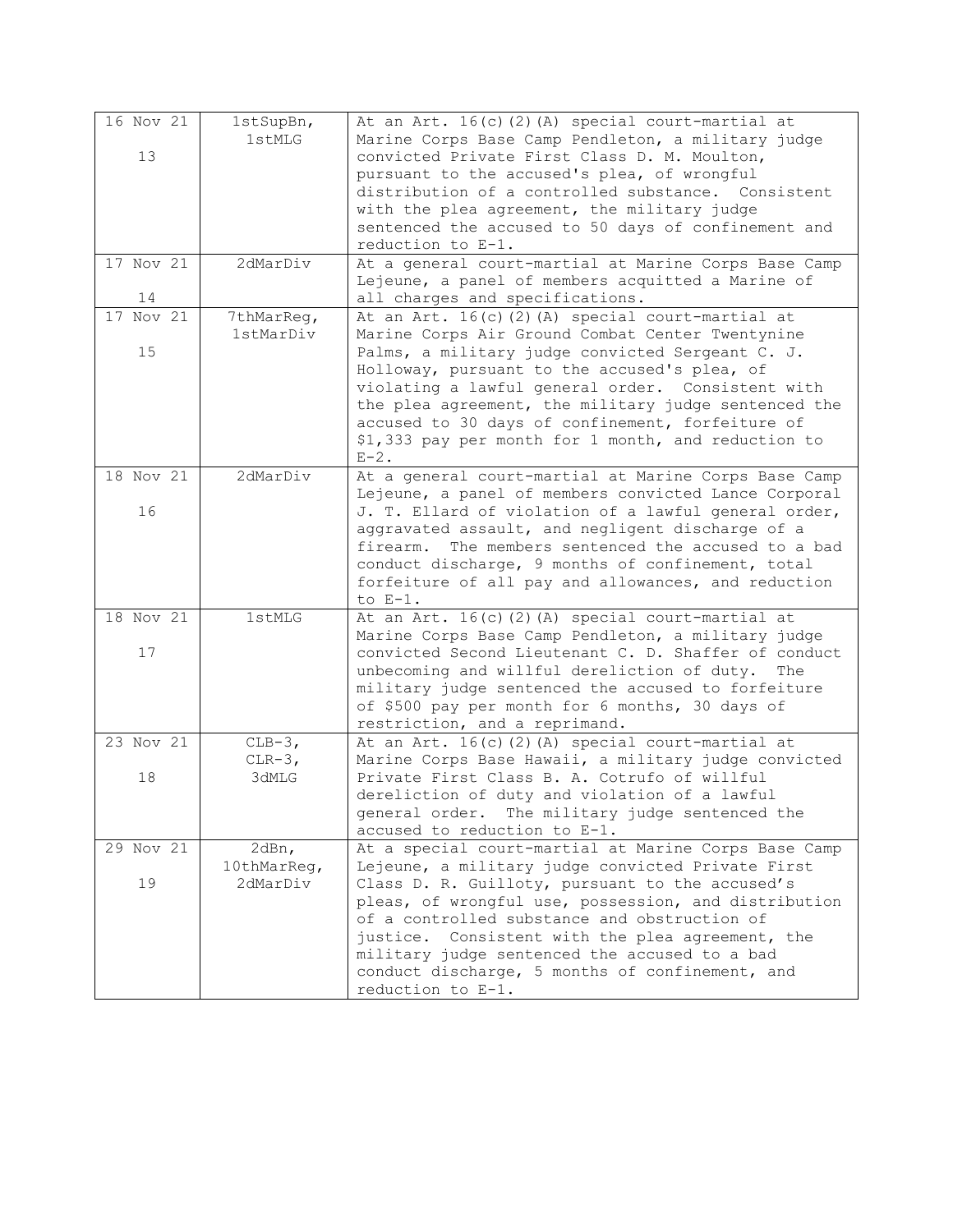| 16 Nov 21     | $1$ stSupBn, | At an Art. 16(c)(2)(A) special court-martial at                                                            |
|---------------|--------------|------------------------------------------------------------------------------------------------------------|
|               | 1stMLG       | Marine Corps Base Camp Pendleton, a military judge                                                         |
| 13            |              | convicted Private First Class D. M. Moulton,                                                               |
|               |              | pursuant to the accused's plea, of wrongful                                                                |
|               |              | distribution of a controlled substance. Consistent                                                         |
|               |              | with the plea agreement, the military judge                                                                |
|               |              | sentenced the accused to 50 days of confinement and                                                        |
|               |              | reduction to E-1.                                                                                          |
| 17 Nov 21     | 2dMarDiv     | At a general court-martial at Marine Corps Base Camp                                                       |
|               |              | Lejeune, a panel of members acquitted a Marine of                                                          |
| 14            |              | all charges and specifications.                                                                            |
| $17$ Nov $21$ | 7thMarReg,   | At an Art. 16(c)(2)(A) special court-martial at                                                            |
|               | 1stMarDiv    | Marine Corps Air Ground Combat Center Twentynine                                                           |
| 15            |              | Palms, a military judge convicted Sergeant C. J.                                                           |
|               |              | Holloway, pursuant to the accused's plea, of                                                               |
|               |              | violating a lawful general order. Consistent with                                                          |
|               |              | the plea agreement, the military judge sentenced the                                                       |
|               |              | accused to 30 days of confinement, forfeiture of                                                           |
|               |              | \$1,333 pay per month for 1 month, and reduction to                                                        |
|               |              | $E-2$ .                                                                                                    |
| 18 Nov 21     | 2dMarDiv     | At a general court-martial at Marine Corps Base Camp                                                       |
|               |              | Lejeune, a panel of members convicted Lance Corporal                                                       |
| 16            |              | J. T. Ellard of violation of a lawful general order,                                                       |
|               |              | aggravated assault, and negligent discharge of a                                                           |
|               |              | The members sentenced the accused to a bad<br>firearm.                                                     |
|               |              | conduct discharge, 9 months of confinement, total                                                          |
|               |              | forfeiture of all pay and allowances, and reduction                                                        |
|               |              | to $E-1$ .                                                                                                 |
| 18 Nov 21     | 1stMLG       | At an Art. 16(c)(2)(A) special court-martial at                                                            |
| 17            |              | Marine Corps Base Camp Pendleton, a military judge<br>convicted Second Lieutenant C. D. Shaffer of conduct |
|               |              | unbecoming and willful dereliction of duty.<br>The                                                         |
|               |              | military judge sentenced the accused to forfeiture                                                         |
|               |              | of \$500 pay per month for 6 months, 30 days of                                                            |
|               |              | restriction, and a reprimand.                                                                              |
| 23 Nov 21     | $CLB-3,$     | At an Art. 16(c)(2)(A) special court-martial at                                                            |
|               | $CLR-3,$     | Marine Corps Base Hawaii, a military judge convicted                                                       |
| 18            | 3dMLG        | Private First Class B. A. Cotrufo of willful                                                               |
|               |              | dereliction of duty and violation of a lawful                                                              |
|               |              | general order. The military judge sentenced the                                                            |
|               |              | accused to reduction to E-1.                                                                               |
| 29 Nov 21     | 2dBn,        | At a special court-martial at Marine Corps Base Camp                                                       |
|               | 10thMarReg,  | Lejeune, a military judge convicted Private First                                                          |
| 19            | 2dMarDiv     | Class D. R. Guilloty, pursuant to the accused's                                                            |
|               |              | pleas, of wrongful use, possession, and distribution                                                       |
|               |              | of a controlled substance and obstruction of                                                               |
|               |              | justice. Consistent with the plea agreement, the                                                           |
|               |              | military judge sentenced the accused to a bad                                                              |
|               |              | conduct discharge, 5 months of confinement, and                                                            |
|               |              | reduction to E-1.                                                                                          |